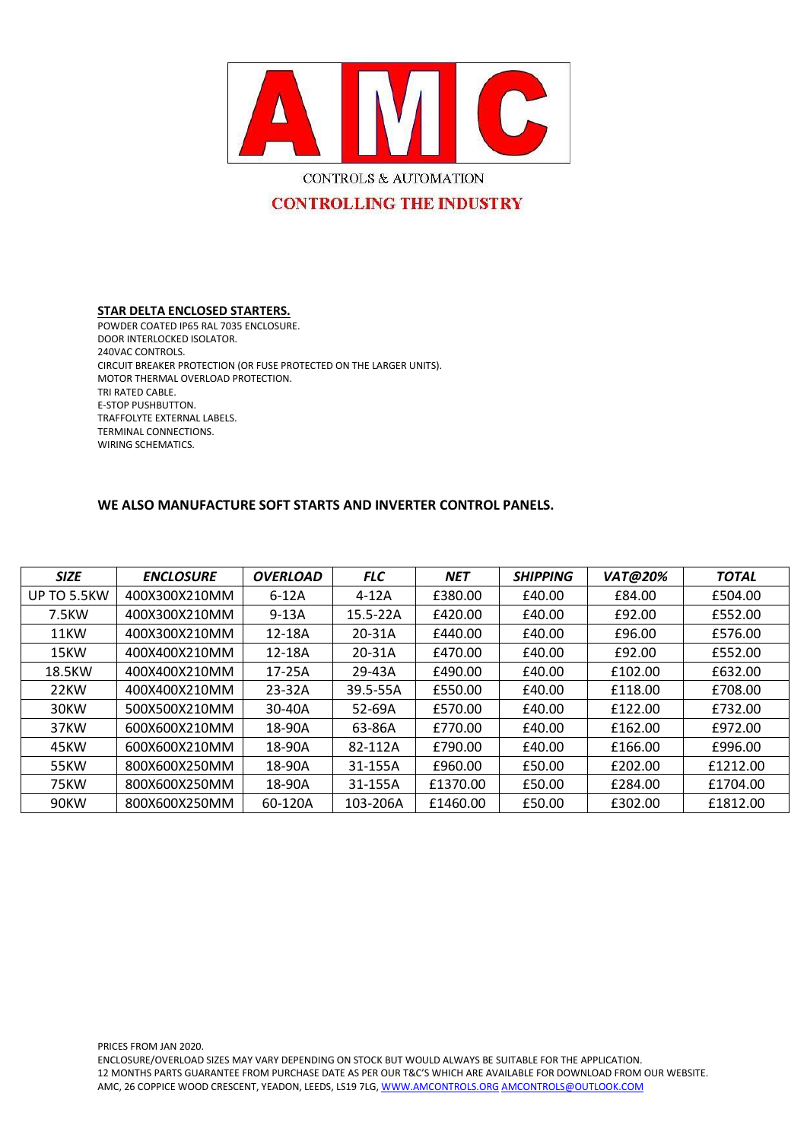

# **CONTROLLING THE INDUSTRY**

#### **STAR DELTA ENCLOSED STARTERS.**

POWDER COATED IP65 RAL 7035 ENCLOSURE. DOOR INTERLOCKED ISOLATOR. 240VAC CONTROLS. CIRCUIT BREAKER PROTECTION (OR FUSE PROTECTED ON THE LARGER UNITS). MOTOR THERMAL OVERLOAD PROTECTION. TRI RATED CABLE. E-STOP PUSHBUTTON. TRAFFOLYTE EXTERNAL LABELS. TERMINAL CONNECTIONS. WIRING SCHEMATICS.

### **WE ALSO MANUFACTURE SOFT STARTS AND INVERTER CONTROL PANELS.**

| <b>SIZE</b> | <b>ENCLOSURE</b> | <b>OVERLOAD</b> | <b>FLC</b> | <b>NET</b> | <b>SHIPPING</b> | <b>VAT@20%</b> | <b>TOTAL</b> |
|-------------|------------------|-----------------|------------|------------|-----------------|----------------|--------------|
| UP TO 5.5KW | 400X300X210MM    | $6-12A$         | $4-12A$    | £380.00    | £40.00          | £84.00         | £504.00      |
| 7.5KW       | 400X300X210MM    | $9-13A$         | 15.5-22A   | £420.00    | £40.00          | £92.00         | £552.00      |
| 11KW        | 400X300X210MM    | 12-18A          | 20-31A     | £440.00    | £40.00          | £96.00         | £576.00      |
| 15KW        | 400X400X210MM    | 12-18A          | 20-31A     | £470.00    | £40.00          | £92.00         | £552.00      |
| 18.5KW      | 400X400X210MM    | 17-25A          | 29-43A     | £490.00    | £40.00          | £102.00        | £632.00      |
| 22KW        | 400X400X210MM    | 23-32A          | 39.5-55A   | £550.00    | £40.00          | £118.00        | £708.00      |
| 30KW        | 500X500X210MM    | 30-40A          | 52-69A     | £570.00    | £40.00          | £122.00        | £732.00      |
| 37KW        | 600X600X210MM    | 18-90A          | 63-86A     | £770.00    | £40.00          | £162.00        | £972.00      |
| 45KW        | 600X600X210MM    | 18-90A          | 82-112A    | £790.00    | £40.00          | £166.00        | £996.00      |
| 55KW        | 800X600X250MM    | 18-90A          | 31-155A    | £960.00    | £50.00          | £202.00        | £1212.00     |
| 75KW        | 800X600X250MM    | 18-90A          | 31-155A    | £1370.00   | £50.00          | £284.00        | £1704.00     |
| 90KW        | 800X600X250MM    | 60-120A         | 103-206A   | £1460.00   | £50.00          | £302.00        | £1812.00     |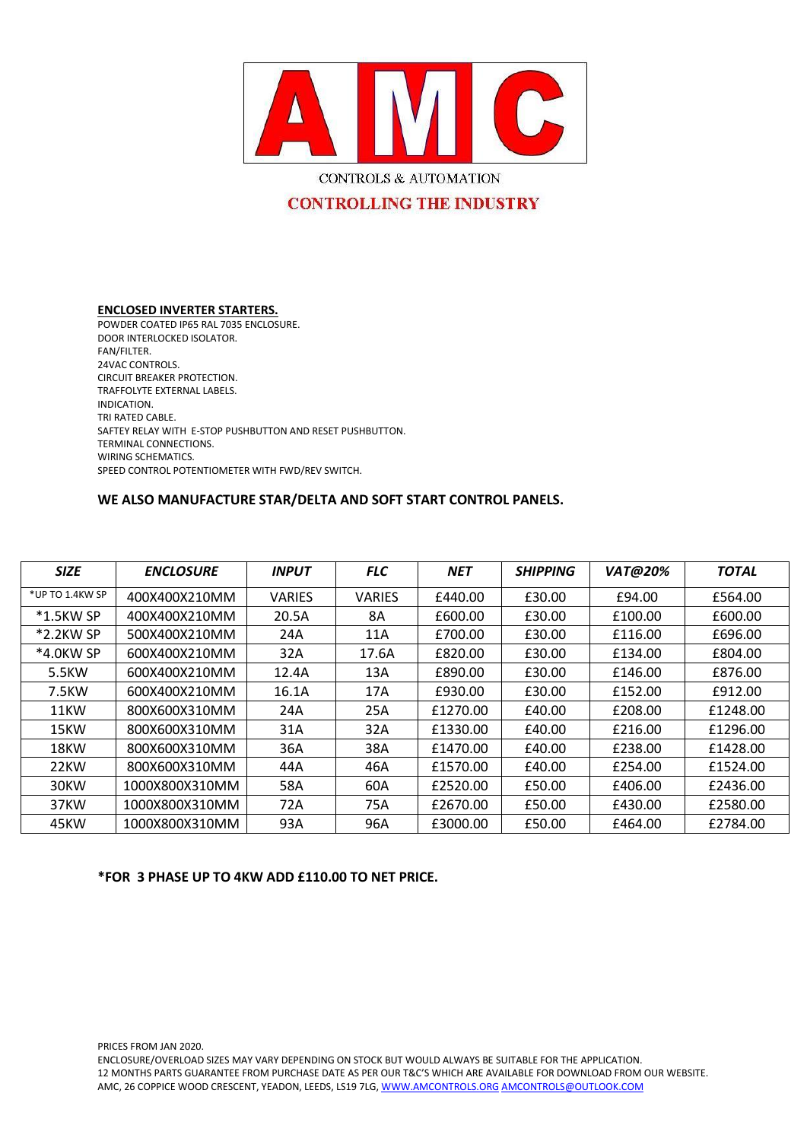

CONTROLS & AUTOMATION

# **CONTROLLING THE INDUSTRY**

#### **ENCLOSED INVERTER STARTERS.** POWDER COATED IP65 RAL 7035 ENCLOSURE. DOOR INTERLOCKED ISOLATOR. FAN/FILTER. 24VAC CONTROLS. CIRCUIT BREAKER PROTECTION. TRAFFOLYTE EXTERNAL LABELS. INDICATION. TRI RATED CABLE. SAFTEY RELAY WITH E-STOP PUSHBUTTON AND RESET PUSHBUTTON. TERMINAL CONNECTIONS. WIRING SCHEMATICS. SPEED CONTROL POTENTIOMETER WITH FWD/REV SWITCH.

## **WE ALSO MANUFACTURE STAR/DELTA AND SOFT START CONTROL PANELS.**

| <b>SIZE</b>     | <b>ENCLOSURE</b> | <b>INPUT</b>  | <b>FLC</b>    | <b>NET</b> | <b>SHIPPING</b> | <b>VAT@20%</b> | <b>TOTAL</b> |
|-----------------|------------------|---------------|---------------|------------|-----------------|----------------|--------------|
| *UP TO 1.4KW SP | 400X400X210MM    | <b>VARIES</b> | <b>VARIES</b> | £440.00    | £30.00          | £94.00         | £564.00      |
| $*1.5$ KW SP    | 400X400X210MM    | 20.5A         | 8A            | £600.00    | £30.00          | £100.00        | £600.00      |
| *2.2KW SP       | 500X400X210MM    | 24A           | 11A           | £700.00    | £30.00          | £116.00        | £696.00      |
| *4.0KW SP       | 600X400X210MM    | 32A           | 17.6A         | £820.00    | £30.00          | £134.00        | £804.00      |
| 5.5KW           | 600X400X210MM    | 12.4A         | 13A           | £890.00    | £30.00          | £146.00        | £876.00      |
| 7.5KW           | 600X400X210MM    | 16.1A         | 17A           | £930.00    | £30.00          | £152.00        | £912.00      |
| 11KW            | 800X600X310MM    | 24A           | 25A           | £1270.00   | £40.00          | £208.00        | £1248.00     |
| 15KW            | 800X600X310MM    | 31A           | 32A           | £1330.00   | £40.00          | £216.00        | £1296.00     |
| 18KW            | 800X600X310MM    | 36A           | 38A           | £1470.00   | £40.00          | £238.00        | £1428.00     |
| 22KW            | 800X600X310MM    | 44A           | 46A           | £1570.00   | £40.00          | £254.00        | £1524.00     |
| 30KW            | 1000X800X310MM   | 58A           | 60A           | £2520.00   | £50.00          | £406.00        | £2436.00     |
| 37KW            | 1000X800X310MM   | 72A           | 75A           | £2670.00   | £50.00          | £430.00        | £2580.00     |
| 45KW            | 1000X800X310MM   | 93A           | 96A           | £3000.00   | £50.00          | £464.00        | £2784.00     |

## **\*FOR 3 PHASE UP TO 4KW ADD £110.00 TO NET PRICE.**